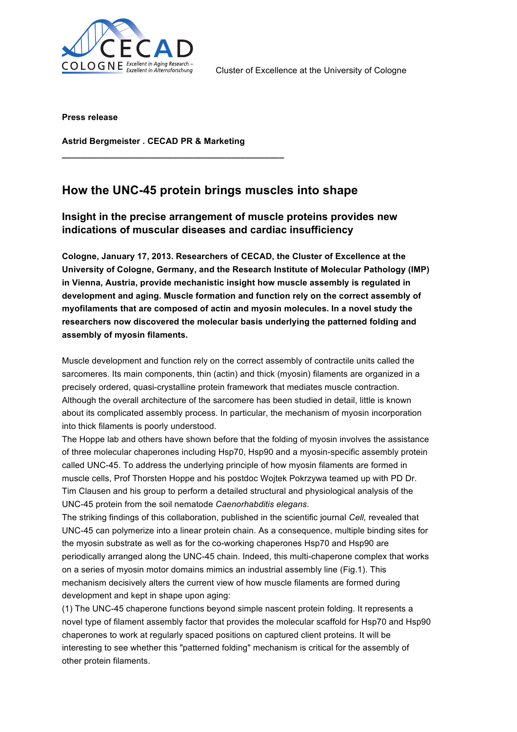

**Press release**

**Astrid Bergmeister . CECAD PR & Marketing**

**\_\_\_\_\_\_\_\_\_\_\_\_\_\_\_\_\_\_\_\_\_\_\_\_\_\_\_\_\_\_\_\_\_\_\_\_\_\_\_\_\_\_\_\_\_\_**

## **How the UNC-45 protein brings muscles into shape**

## **Insight in the precise arrangement of muscle proteins provides new indications of muscular diseases and cardiac insufficiency**

**Cologne, January 17, 2013. Researchers of CECAD, the Cluster of Excellence at the University of Cologne, Germany, and the Research Institute of Molecular Pathology (IMP) in Vienna, Austria, provide mechanistic insight how muscle assembly is regulated in development and aging. Muscle formation and function rely on the correct assembly of myofilaments that are composed of actin and myosin molecules. In a novel study the researchers now discovered the molecular basis underlying the patterned folding and assembly of myosin filaments.**

Muscle development and function rely on the correct assembly of contractile units called the sarcomeres. Its main components, thin (actin) and thick (myosin) filaments are organized in a precisely ordered, quasi-crystalline protein framework that mediates muscle contraction. Although the overall architecture of the sarcomere has been studied in detail, little is known about its complicated assembly process. In particular, the mechanism of myosin incorporation into thick filaments is poorly understood.

The Hoppe lab and others have shown before that the folding of myosin involves the assistance of three molecular chaperones including Hsp70, Hsp90 and a myosin-specific assembly protein called UNC-45. To address the underlying principle of how myosin filaments are formed in muscle cells, Prof Thorsten Hoppe and his postdoc Wojtek Pokrzywa teamed up with PD Dr. Tim Clausen and his group to perform a detailed structural and physiological analysis of the UNC-45 protein from the soil nematode *Caenorhabditis elegans*.

The striking findings of this collaboration, published in the scientific journal *Cell,* revealed that UNC-45 can polymerize into a linear protein chain. As a consequence, multiple binding sites for the myosin substrate as well as for the co-working chaperones Hsp70 and Hsp90 are periodically arranged along the UNC-45 chain. Indeed, this multi-chaperone complex that works on a series of myosin motor domains mimics an industrial assembly line (Fig.1). This mechanism decisively alters the current view of how muscle filaments are formed during development and kept in shape upon aging:

(1) The UNC-45 chaperone functions beyond simple nascent protein folding. It represents a novel type of filament assembly factor that provides the molecular scaffold for Hsp70 and Hsp90 chaperones to work at regularly spaced positions on captured client proteins. It will be interesting to see whether this "patterned folding" mechanism is critical for the assembly of other protein filaments.